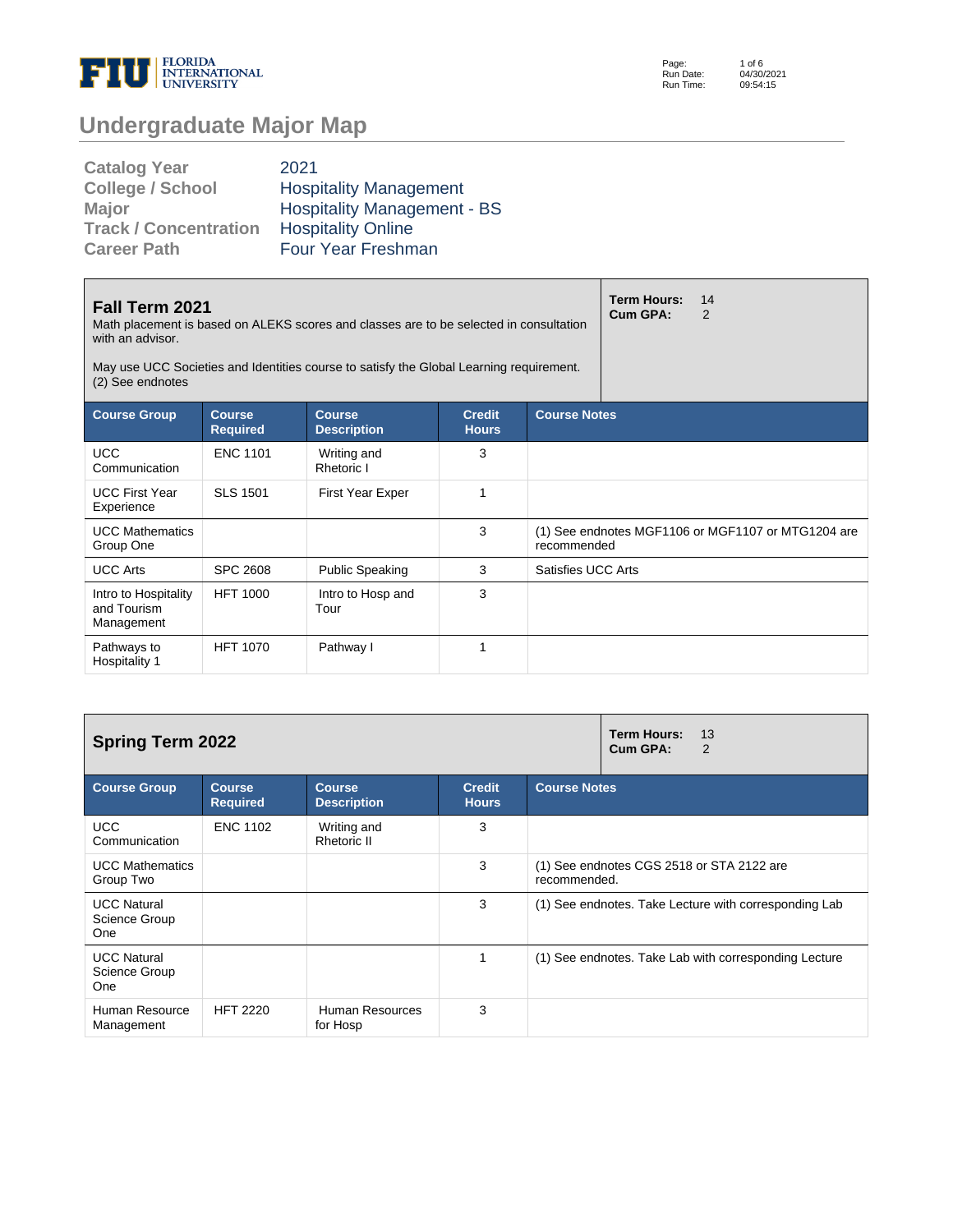

Page: Run Date: Run Time: 1 of 6 04/30/2021 09:54:15

## **Undergraduate Major Map**

| <b>Catalog Year</b>          | 2021                               |
|------------------------------|------------------------------------|
| <b>College / School</b>      | <b>Hospitality Management</b>      |
| <b>Major</b>                 | <b>Hospitality Management - BS</b> |
| <b>Track / Concentration</b> | <b>Hospitality Online</b>          |
| <b>Career Path</b>           | Four Year Freshman                 |

| Fall Term 2021<br>Math placement is based on ALEKS scores and classes are to be selected in consultation<br>with an advisor.<br>May use UCC Societies and Identities course to satisfy the Global Learning requirement.<br>(2) See endnotes |                                  | <b>Term Hours:</b><br><b>Cum GPA:</b> | 14<br>$\overline{2}$          |                     |  |                                                    |  |
|---------------------------------------------------------------------------------------------------------------------------------------------------------------------------------------------------------------------------------------------|----------------------------------|---------------------------------------|-------------------------------|---------------------|--|----------------------------------------------------|--|
| <b>Course Group</b>                                                                                                                                                                                                                         | <b>Course</b><br><b>Required</b> | <b>Course</b><br><b>Description</b>   | <b>Credit</b><br><b>Hours</b> | <b>Course Notes</b> |  |                                                    |  |
| <b>UCC</b><br>Communication                                                                                                                                                                                                                 | <b>ENC 1101</b>                  | Writing and<br>Rhetoric I             | 3                             |                     |  |                                                    |  |
| <b>UCC First Year</b><br>Experience                                                                                                                                                                                                         | <b>SLS 1501</b>                  | <b>First Year Exper</b>               | 1                             |                     |  |                                                    |  |
| <b>UCC Mathematics</b><br>Group One                                                                                                                                                                                                         |                                  |                                       | 3                             | recommended         |  | (1) See endnotes MGF1106 or MGF1107 or MTG1204 are |  |
| <b>UCC Arts</b>                                                                                                                                                                                                                             | <b>SPC 2608</b>                  | <b>Public Speaking</b>                | 3                             | Satisfies UCC Arts  |  |                                                    |  |
| Intro to Hospitality<br>and Tourism<br>Management                                                                                                                                                                                           | <b>HFT 1000</b>                  | Intro to Hosp and<br>Tour             | 3                             |                     |  |                                                    |  |
| Pathways to<br>Hospitality 1                                                                                                                                                                                                                | <b>HFT 1070</b>                  | Pathway I                             | 1                             |                     |  |                                                    |  |

| <b>Spring Term 2022</b>                    |                                  | <b>Term Hours:</b><br>13<br>Cum GPA:<br>2 |                               |                                                           |
|--------------------------------------------|----------------------------------|-------------------------------------------|-------------------------------|-----------------------------------------------------------|
| <b>Course Group</b>                        | <b>Course</b><br><b>Required</b> | <b>Course</b><br><b>Description</b>       | <b>Credit</b><br><b>Hours</b> | <b>Course Notes</b>                                       |
| <b>UCC</b><br>Communication                | <b>ENC 1102</b>                  | Writing and<br>Rhetoric II                | 3                             |                                                           |
| <b>UCC Mathematics</b><br>Group Two        |                                  |                                           | 3                             | (1) See endnotes CGS 2518 or STA 2122 are<br>recommended. |
| <b>UCC Natural</b><br>Science Group<br>One |                                  |                                           | 3                             | (1) See endnotes. Take Lecture with corresponding Lab     |
| <b>UCC Natural</b><br>Science Group<br>One |                                  |                                           |                               | (1) See endnotes. Take Lab with corresponding Lecture     |
| Human Resource<br>Management               | <b>HFT 2220</b>                  | Human Resources<br>for Hosp               | 3                             |                                                           |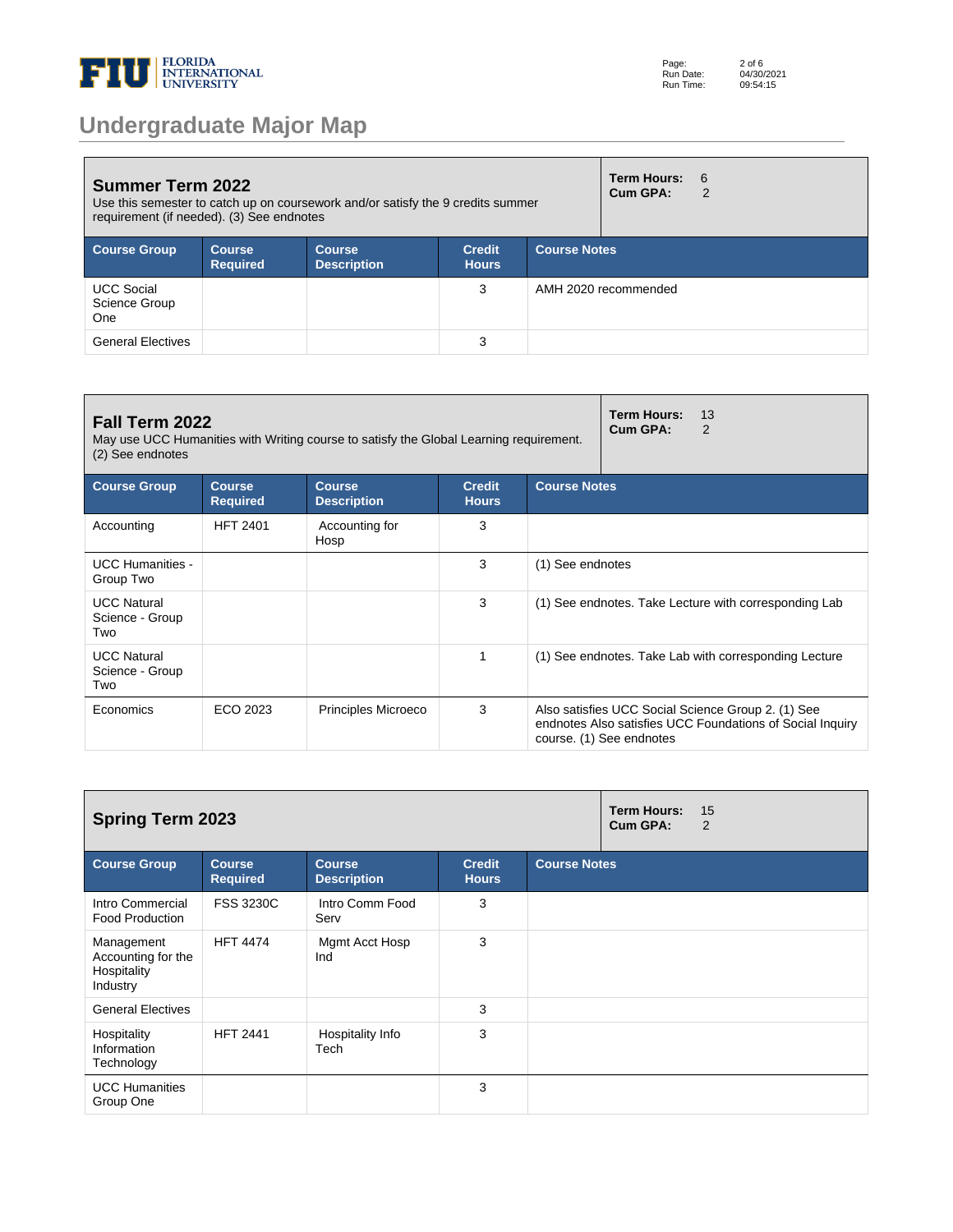

## **Undergraduate Major Map**

| <b>Summer Term 2022</b><br>Use this semester to catch up on coursework and/or satisfy the 9 credits summer<br>requirement (if needed). (3) See endnotes |                                  |                                     |                               |                     | Term Hours:<br>Cum GPA: | - 6<br>$\mathcal{P}$ |
|---------------------------------------------------------------------------------------------------------------------------------------------------------|----------------------------------|-------------------------------------|-------------------------------|---------------------|-------------------------|----------------------|
| <b>Course Group</b>                                                                                                                                     | <b>Course</b><br><b>Required</b> | <b>Course</b><br><b>Description</b> | <b>Credit</b><br><b>Hours</b> | <b>Course Notes</b> |                         |                      |
| <b>UCC Social</b><br>Science Group<br><b>One</b>                                                                                                        |                                  |                                     | 3                             |                     | AMH 2020 recommended    |                      |
| <b>General Electives</b>                                                                                                                                |                                  |                                     | 3                             |                     |                         |                      |

| Fall Term 2022<br>May use UCC Humanities with Writing course to satisfy the Global Learning requirement.<br>(2) See endnotes |                                  | Term Hours:<br>13<br>Cum GPA:<br>$\mathcal{P}$ |                               |                     |                                                                                                                                             |  |
|------------------------------------------------------------------------------------------------------------------------------|----------------------------------|------------------------------------------------|-------------------------------|---------------------|---------------------------------------------------------------------------------------------------------------------------------------------|--|
| <b>Course Group</b>                                                                                                          | <b>Course</b><br><b>Required</b> | <b>Course</b><br><b>Description</b>            | <b>Credit</b><br><b>Hours</b> | <b>Course Notes</b> |                                                                                                                                             |  |
| Accounting                                                                                                                   | <b>HFT 2401</b>                  | Accounting for<br>Hosp                         | 3                             |                     |                                                                                                                                             |  |
| <b>UCC Humanities -</b><br>Group Two                                                                                         |                                  |                                                | 3                             | (1) See endnotes    |                                                                                                                                             |  |
| <b>UCC Natural</b><br>Science - Group<br>Two                                                                                 |                                  |                                                | 3                             |                     | (1) See endnotes. Take Lecture with corresponding Lab                                                                                       |  |
| <b>UCC Natural</b><br>Science - Group<br>Two                                                                                 |                                  |                                                | 1                             |                     | (1) See endnotes. Take Lab with corresponding Lecture                                                                                       |  |
| Economics                                                                                                                    | ECO 2023                         | <b>Principles Microeco</b>                     | 3                             |                     | Also satisfies UCC Social Science Group 2. (1) See<br>endnotes Also satisfies UCC Foundations of Social Inquiry<br>course. (1) See endnotes |  |

| <b>Spring Term 2023</b>                                     |                                  |                                     |                               |                     | <b>Term Hours:</b><br>Cum GPA: | 15<br>2 |
|-------------------------------------------------------------|----------------------------------|-------------------------------------|-------------------------------|---------------------|--------------------------------|---------|
| <b>Course Group</b>                                         | <b>Course</b><br><b>Required</b> | <b>Course</b><br><b>Description</b> | <b>Credit</b><br><b>Hours</b> | <b>Course Notes</b> |                                |         |
| Intro Commercial<br><b>Food Production</b>                  | <b>FSS 3230C</b>                 | Intro Comm Food<br>Serv             | 3                             |                     |                                |         |
| Management<br>Accounting for the<br>Hospitality<br>Industry | <b>HFT 4474</b>                  | Mgmt Acct Hosp<br>Ind               | 3                             |                     |                                |         |
| <b>General Electives</b>                                    |                                  |                                     | 3                             |                     |                                |         |
| Hospitality<br>Information<br>Technology                    | <b>HFT 2441</b>                  | Hospitality Info<br>Tech            | 3                             |                     |                                |         |
| <b>UCC Humanities</b><br>Group One                          |                                  |                                     | 3                             |                     |                                |         |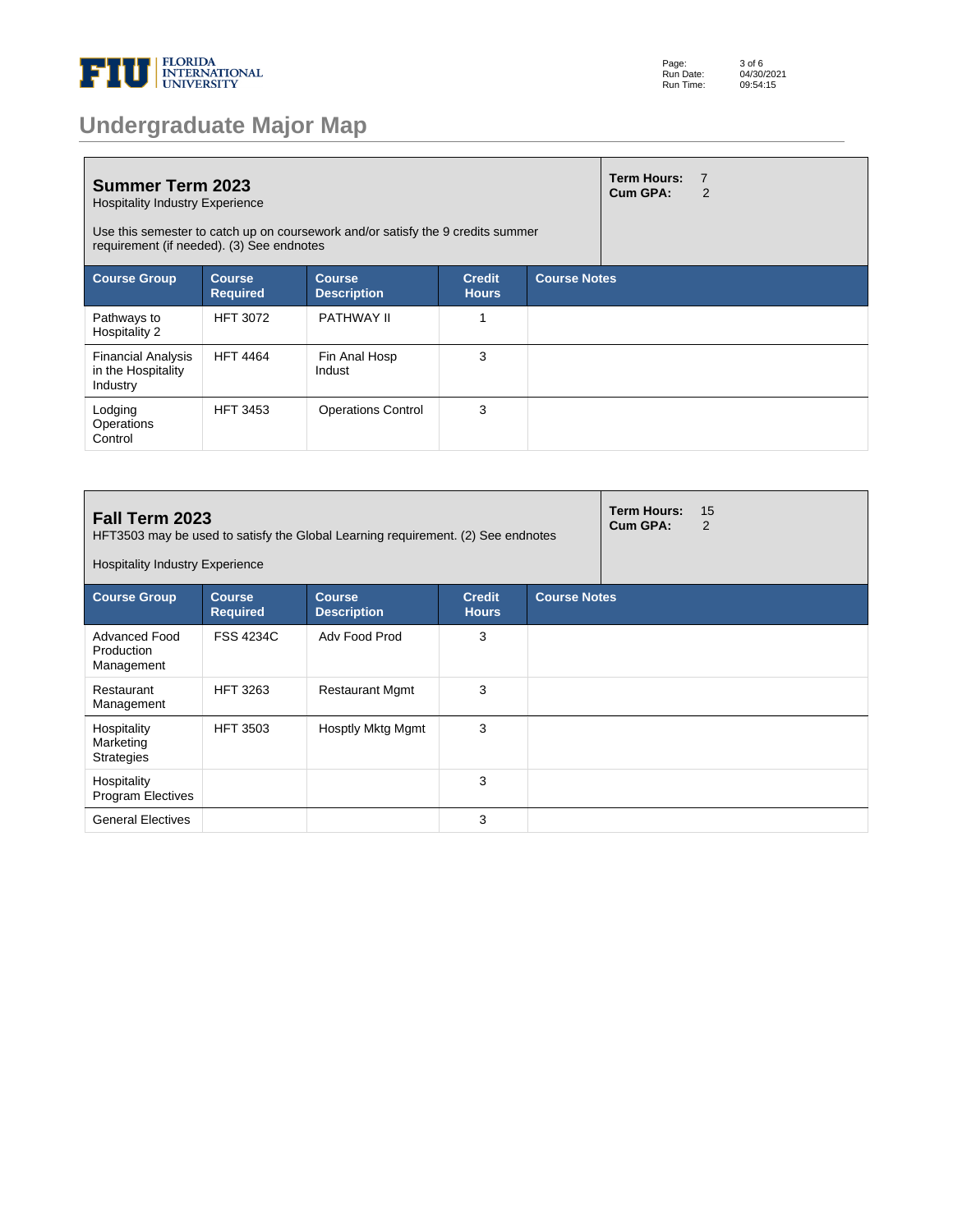

| <b>Undergraduate Major Map</b> |  |  |
|--------------------------------|--|--|
|--------------------------------|--|--|

| <b>Summer Term 2023</b><br><b>Hospitality Industry Experience</b><br>Use this semester to catch up on coursework and/or satisfy the 9 credits summer<br>requirement (if needed). (3) See endnotes |                                  |                                     |                               |                     | <b>Term Hours:</b><br>Cum GPA: | $\overline{7}$<br>2 |
|---------------------------------------------------------------------------------------------------------------------------------------------------------------------------------------------------|----------------------------------|-------------------------------------|-------------------------------|---------------------|--------------------------------|---------------------|
| <b>Course Group</b>                                                                                                                                                                               | <b>Course</b><br><b>Required</b> | <b>Course</b><br><b>Description</b> | <b>Credit</b><br><b>Hours</b> | <b>Course Notes</b> |                                |                     |
| Pathways to<br>Hospitality 2                                                                                                                                                                      | <b>HFT 3072</b>                  | <b>PATHWAY II</b>                   |                               |                     |                                |                     |
| <b>Financial Analysis</b><br>in the Hospitality<br>Industry                                                                                                                                       | <b>HFT 4464</b>                  | Fin Anal Hosp<br>Indust             | 3                             |                     |                                |                     |
| Lodging<br>Operations<br>Control                                                                                                                                                                  | <b>HFT 3453</b>                  | <b>Operations Control</b>           | 3                             |                     |                                |                     |

| Fall Term 2023<br>HFT3503 may be used to satisfy the Global Learning requirement. (2) See endnotes<br><b>Hospitality Industry Experience</b> |                                  |                                     |                               |                     |  | 15<br>$\overline{2}$ |
|----------------------------------------------------------------------------------------------------------------------------------------------|----------------------------------|-------------------------------------|-------------------------------|---------------------|--|----------------------|
| <b>Course Group</b>                                                                                                                          | <b>Course</b><br><b>Required</b> | <b>Course</b><br><b>Description</b> | <b>Credit</b><br><b>Hours</b> | <b>Course Notes</b> |  |                      |
| Advanced Food<br>Production<br>Management                                                                                                    | <b>FSS 4234C</b>                 | Adv Food Prod                       | 3                             |                     |  |                      |
| Restaurant<br>Management                                                                                                                     | <b>HFT 3263</b>                  | <b>Restaurant Mgmt</b>              | 3                             |                     |  |                      |
| Hospitality<br>Marketing<br><b>Strategies</b>                                                                                                | <b>HFT 3503</b>                  | Hosptly Mktg Mgmt                   | 3                             |                     |  |                      |
| Hospitality<br><b>Program Electives</b>                                                                                                      |                                  |                                     | 3                             |                     |  |                      |
| <b>General Electives</b>                                                                                                                     |                                  |                                     | 3                             |                     |  |                      |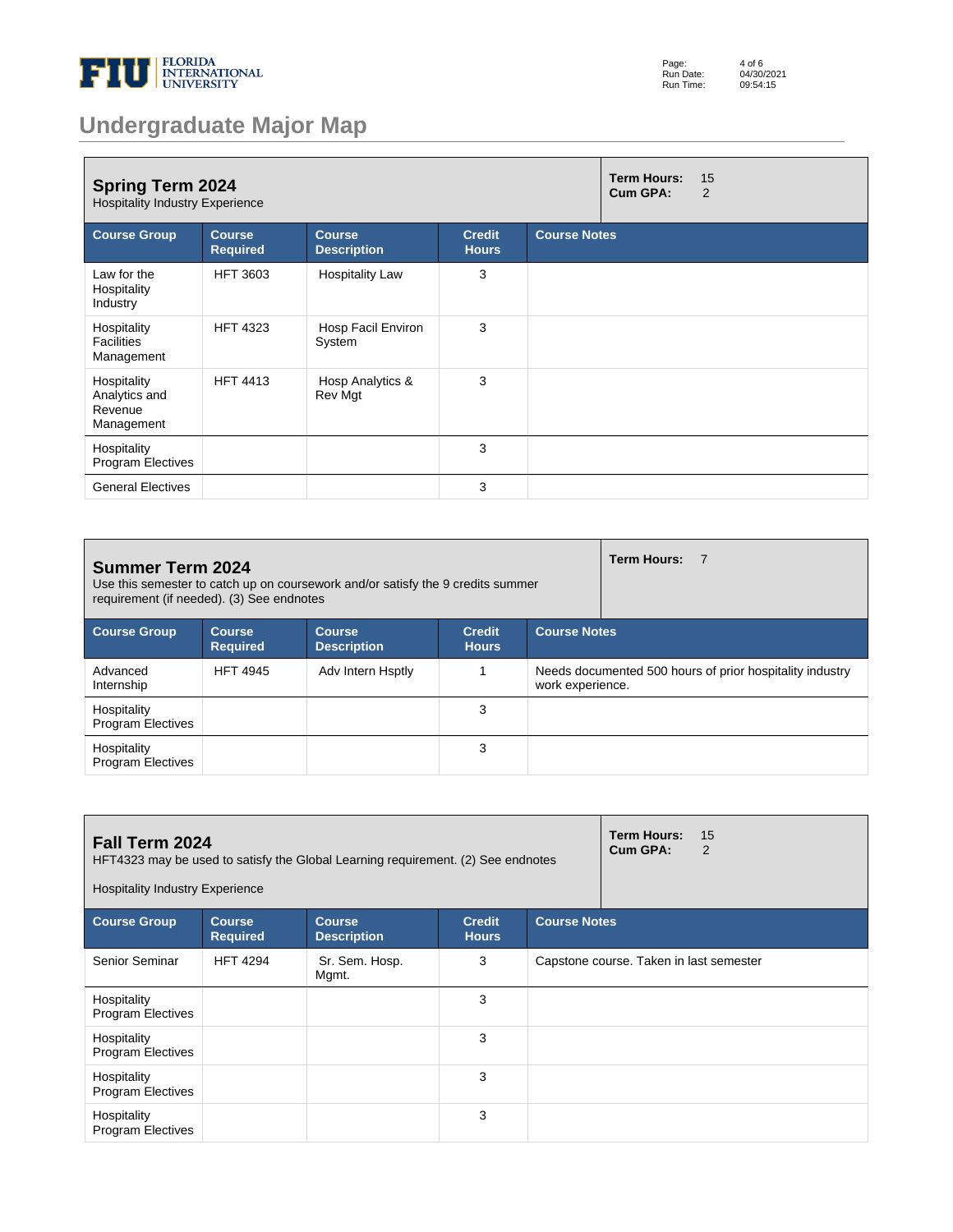

| Page:     | 4 of 6     |
|-----------|------------|
| Run Date: | 04/30/2021 |
| Run Time: | 09:54:15   |

## **Undergraduate Major Map**

| <b>Spring Term 2024</b><br><b>Hospitality Industry Experience</b> |                                  |                                     |                               |                     | <b>Term Hours:</b><br><b>Cum GPA:</b> | 15<br>2 |
|-------------------------------------------------------------------|----------------------------------|-------------------------------------|-------------------------------|---------------------|---------------------------------------|---------|
| <b>Course Group</b>                                               | <b>Course</b><br><b>Required</b> | <b>Course</b><br><b>Description</b> | <b>Credit</b><br><b>Hours</b> | <b>Course Notes</b> |                                       |         |
| Law for the<br>Hospitality<br>Industry                            | <b>HFT 3603</b>                  | <b>Hospitality Law</b>              | 3                             |                     |                                       |         |
| Hospitality<br><b>Facilities</b><br>Management                    | <b>HFT 4323</b>                  | Hosp Facil Environ<br>System        | 3                             |                     |                                       |         |
| Hospitality<br>Analytics and<br>Revenue<br>Management             | <b>HFT 4413</b>                  | Hosp Analytics &<br>Rev Mgt         | 3                             |                     |                                       |         |
| Hospitality<br>Program Electives                                  |                                  |                                     | 3                             |                     |                                       |         |
| <b>General Electives</b>                                          |                                  |                                     | 3                             |                     |                                       |         |

| <b>Summer Term 2024</b><br>Use this semester to catch up on coursework and/or satisfy the 9 credits summer<br>requirement (if needed). (3) See endnotes |                                  |                                     |                               |                                                                              | Term Hours: 7 |  |
|---------------------------------------------------------------------------------------------------------------------------------------------------------|----------------------------------|-------------------------------------|-------------------------------|------------------------------------------------------------------------------|---------------|--|
| <b>Course Group</b>                                                                                                                                     | <b>Course</b><br><b>Required</b> | <b>Course</b><br><b>Description</b> | <b>Credit</b><br><b>Hours</b> | <b>Course Notes</b>                                                          |               |  |
| Advanced<br>Internship                                                                                                                                  | <b>HFT 4945</b>                  | Adv Intern Hsptly                   |                               | Needs documented 500 hours of prior hospitality industry<br>work experience. |               |  |
| Hospitality<br><b>Program Electives</b>                                                                                                                 |                                  |                                     | 3                             |                                                                              |               |  |
| Hospitality<br><b>Program Electives</b>                                                                                                                 |                                  |                                     | 3                             |                                                                              |               |  |

| <b>Fall Term 2024</b><br>HFT4323 may be used to satisfy the Global Learning requirement. (2) See endnotes<br><b>Hospitality Industry Experience</b> |                                  |                                     |                               |                                         | <b>Term Hours:</b><br>Cum GPA: | 15<br>2 |
|-----------------------------------------------------------------------------------------------------------------------------------------------------|----------------------------------|-------------------------------------|-------------------------------|-----------------------------------------|--------------------------------|---------|
| <b>Course Group</b>                                                                                                                                 | <b>Course</b><br><b>Required</b> | <b>Course</b><br><b>Description</b> | <b>Credit</b><br><b>Hours</b> | <b>Course Notes</b>                     |                                |         |
| Senior Seminar                                                                                                                                      | <b>HFT 4294</b>                  | Sr. Sem. Hosp.<br>Mgmt.             | 3                             | Capstone course. Taken in last semester |                                |         |
| Hospitality<br><b>Program Electives</b>                                                                                                             |                                  |                                     | 3                             |                                         |                                |         |
| Hospitality<br><b>Program Electives</b>                                                                                                             |                                  |                                     | 3                             |                                         |                                |         |
| Hospitality<br><b>Program Electives</b>                                                                                                             |                                  |                                     | 3                             |                                         |                                |         |
| Hospitality<br><b>Program Electives</b>                                                                                                             |                                  |                                     | 3                             |                                         |                                |         |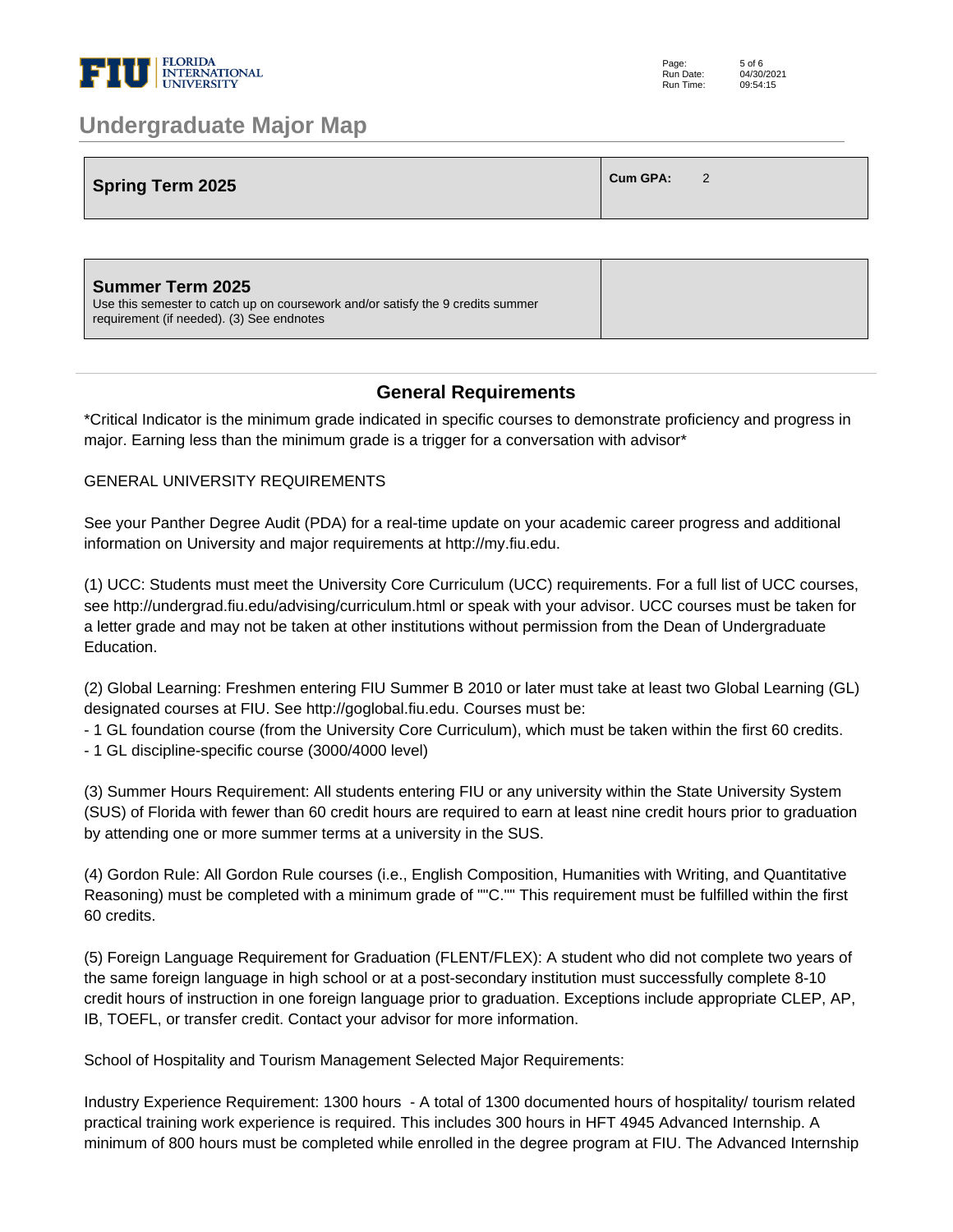

# **Spring Term 2025 Cum GPA:**  $2$

### **General Requirements**

\*Critical Indicator is the minimum grade indicated in specific courses to demonstrate proficiency and progress in major. Earning less than the minimum grade is a trigger for a conversation with advisor\*

#### GENERAL UNIVERSITY REQUIREMENTS

See your Panther Degree Audit (PDA) for a real-time update on your academic career progress and additional information on University and major requirements at http://my.fiu.edu.

(1) UCC: Students must meet the University Core Curriculum (UCC) requirements. For a full list of UCC courses, see http://undergrad.fiu.edu/advising/curriculum.html or speak with your advisor. UCC courses must be taken for a letter grade and may not be taken at other institutions without permission from the Dean of Undergraduate Education.

(2) Global Learning: Freshmen entering FIU Summer B 2010 or later must take at least two Global Learning (GL) designated courses at FIU. See http://goglobal.fiu.edu. Courses must be:

- 1 GL foundation course (from the University Core Curriculum), which must be taken within the first 60 credits.

- 1 GL discipline-specific course (3000/4000 level)

(3) Summer Hours Requirement: All students entering FIU or any university within the State University System (SUS) of Florida with fewer than 60 credit hours are required to earn at least nine credit hours prior to graduation by attending one or more summer terms at a university in the SUS.

(4) Gordon Rule: All Gordon Rule courses (i.e., English Composition, Humanities with Writing, and Quantitative Reasoning) must be completed with a minimum grade of ""C."" This requirement must be fulfilled within the first 60 credits.

(5) Foreign Language Requirement for Graduation (FLENT/FLEX): A student who did not complete two years of the same foreign language in high school or at a post-secondary institution must successfully complete 8-10 credit hours of instruction in one foreign language prior to graduation. Exceptions include appropriate CLEP, AP, IB, TOEFL, or transfer credit. Contact your advisor for more information.

School of Hospitality and Tourism Management Selected Major Requirements:

Industry Experience Requirement: 1300 hours - A total of 1300 documented hours of hospitality/ tourism related practical training work experience is required. This includes 300 hours in HFT 4945 Advanced Internship. A minimum of 800 hours must be completed while enrolled in the degree program at FIU. The Advanced Internship